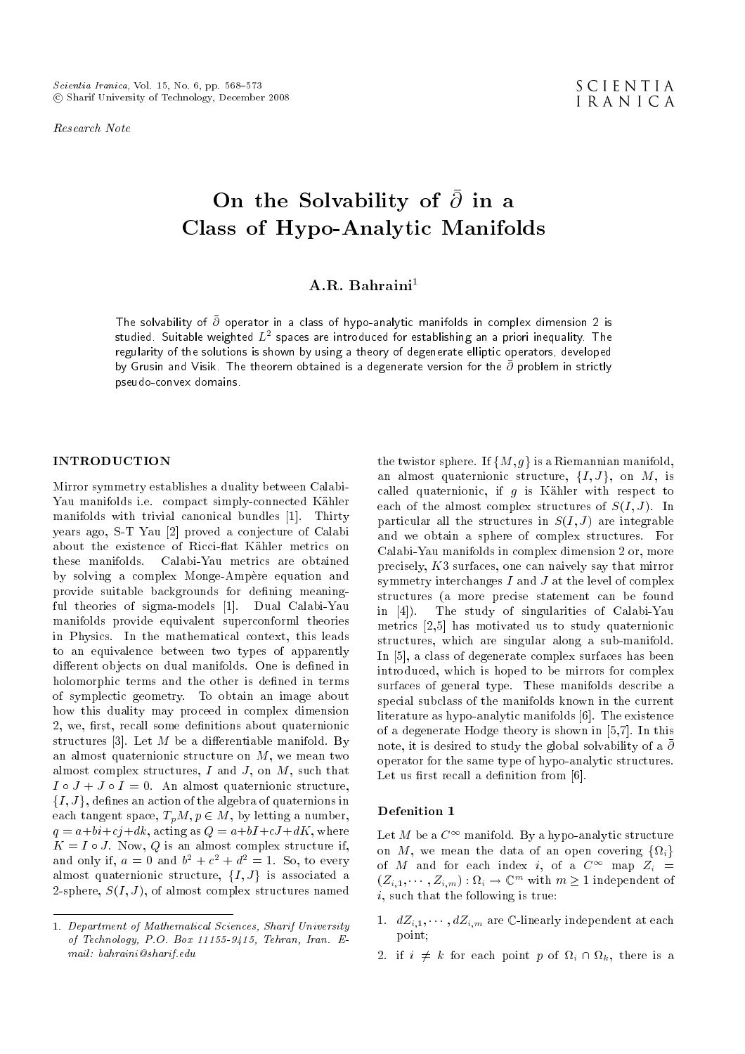Research Note

# On the Solvability of  $\partial$  in a Class of Hypo-Analytic Manifolds

# A.R. Bahraini $<sup>1</sup>$ </sup>

The solvability of  $\bar{\partial}$  operator in a class of hypo-analytic manifolds in complex dimension 2 is studied. Suitable weighted  $L^2$  spaces are introduced for establishing an a priori inequality. The regularity of the solutions is shown by using a theory of degenerate elliptic operators, developed by Grusin and Visik. The theorem obtained is a degenerate version for the  $\bar{\partial}$  problem in strictly pseudo-convex domains.

# INTRODUCTION

Mirror symmetry establishes a duality between Calabi-Yau manifolds i.e. compact simply-connected Kahler manifolds with trivial canonical bundles [1]. Thirty years ago, S-T Yau [2] proved a conjecture of Calabi about the existence of Ricci-flat Kähler metrics on these manifolds. Calabi-Yau metrics are obtained by solving a complex Monge-Ampere equation and provide suitable backgrounds for defining meaningful theories of sigma-models [1]. Dual Calabi-Yau manifolds provide equivalent superconforml theories in Physics. In the mathematical context, this leads to an equivalence between two types of apparently different objects on dual manifolds. One is defined in holomorphic terms and the other is defined in terms of symplectic geometry. To obtain an image about how this duality may proceed in complex dimension 2, we, first, recall some definitions about quaternionic structures [3]. Let  $M$  be a differentiable manifold. By an almost quaternionic structure on  $M$ , we mean two almost complex structures,  $I$  and  $J$ , on  $M$ , such that  $I \circ J + J \circ I = 0$ . An almost quaternionic structure,  $\{I, J\}$ , defines an action of the algebra of quaternions in each tangent space,  $T_pM, p \in M$ , by letting a number,  $q = a + bi + cj + dk$ , acting as  $Q = a + bI + cJ + dK$ , where  $K = I \circ J$ . Now, Q is an almost complex structure if. and only if,  $a = 0$  and  $b^2 + c^2 + d^2 = 1$ . So, to every almost quaternionic structure,  $\{I, J\}$  is associated a 2-sphere,  $S(I, J)$ , of almost complex structures named the twistor sphere. If  $\{M, g\}$  is a Riemannian manifold, an almost quaternionic structure,  $\{I, J\}$ , on M, is called quaternionic, if  $g$  is Kähler with respect to each of the almost complex structures of  $S(I, J)$ . In particular all the structures in  $S(I, J)$  are integrable and we obtain a sphere of complex structures. For Calabi-Yau manifolds in complex dimension 2 or, more precisely, K3 surfaces, one can naively say that mirror symmetry interchanges  $I$  and  $J$  at the level of complex structures (a more precise statement can be found in [4]). The study of singularities of Calabi-Yau metrics [2,5] has motivated us to study quaternionic structures, which are singular along a sub-manifold. In [5], a class of degenerate complex surfaces has been introduced, which is hoped to be mirrors for complex surfaces of general type. These manifolds describe a special subclass of the manifolds known in the current literature as hypo-analytic manifolds [6]. The existence of a degenerate Hodge theory is shown in [5,7]. In this note, it is desired to study the global solvability of a  $\bar{\partial}$ operator for the same type of hypo-analytic structures. Let us first recall a definition from  $[6]$ .

#### Defenition 1

Let M be a  $C^{\infty}$  manifold. By a hypo-analytic structure on M, we mean the data of an open covering  $\{\Omega_i\}$ of M and for each index i, of a  $C^{\infty}$  map  $Z_i$  =  $(Z_{i,1},\cdots,Z_{i,m}): \Omega_i \to \mathbb{C}^m$  with  $m \geq 1$  independent of  $i$ , such that the following is true:

- 1.  $dZ_{i,1}, \cdots, dZ_{i,m}$  are C-linearly independent at each point;
- 2. if  $i \neq k$  for each point p of  $\Omega_i \cap \Omega_k$ , there is a

<sup>1.</sup> Department of Mathematical Sciences, Sharif University of Technology, P.O. Box 11155-9415, Tehran, Iran. Email: bahraini@sharif.edu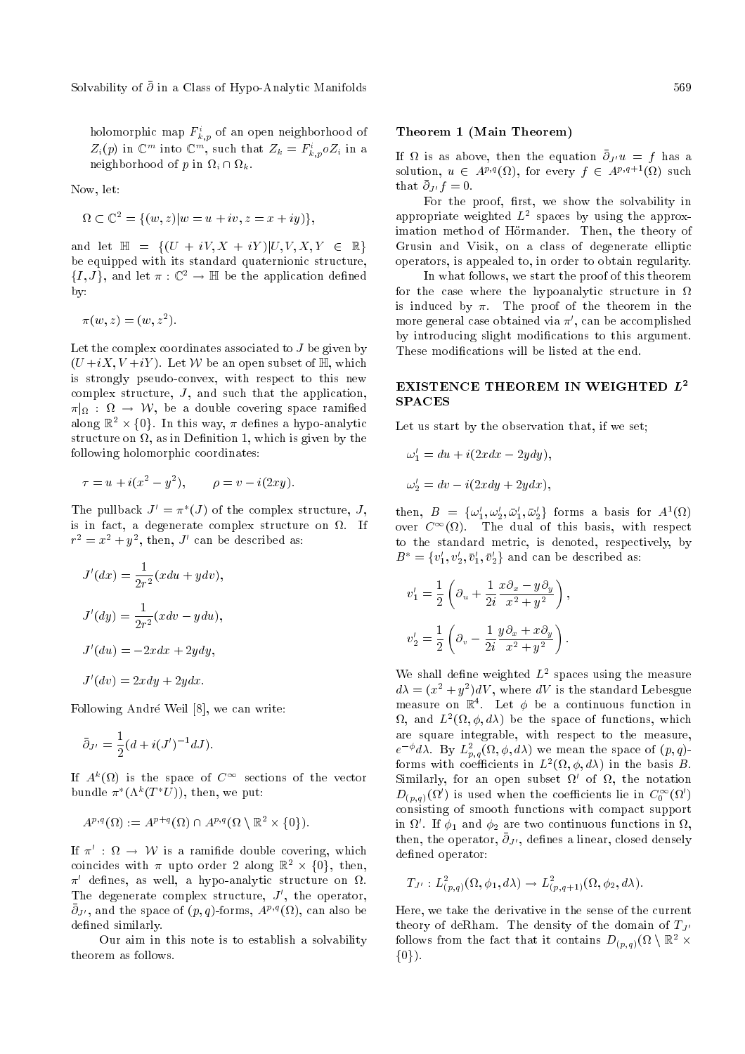Solvability of  $\bar{\partial}$  in a Class of Hypo-Analytic Manifolds 569

holomorphic map  $F^i_{k,p}$  of an open neighborhood of  $Z_i(p)$  in  $\mathbb{C}^m$  into  $\mathbb{C}^m$ , such that  $Z_k = F^i_{k,p} o Z_i$  in a neighborhood of p in  $\Omega_i \cap \Omega_k$ .

Now, let:

$$
\Omega \subset \mathbb{C}^2 = \{ (w, z) | w = u + iv, z = x + iy) \},\
$$

and let  $\mathbb{H} = \{ (U + iV, X + iY) | U, V, X, Y \in \mathbb{R} \}$ be equipped with its standard quaternionic structure,  $\{I, J\}$ , and let  $\pi : \mathbb{C}^2 \to \mathbb{H}$  be the application defined by:

 $\pi(w, z) = (w, z^2).$ 

Let the complex coordinates associated to  $J$  be given by  $(U+iX,V+iY)$ . Let W be an open subset of H, which is strongly pseudo-convex, with respect to this new complex structure, J, and such that the application,  $\pi|_{\Omega}$  :  $\Omega$   $\;\rightarrow$   $\;\mathcal{W},\;$  be a double covering space ramified along  $\mathbb{R}^2 \times \{0\}$ . In this way,  $\pi$  defines a hypo-analytic structure on  $\Omega,$  as in Definition 1, which is given by the following holomorphic coordinates:

$$
\tau = u + i(x^2 - y^2), \qquad \rho = v - i(2xy).
$$

The pullback  $J' = \pi^*(J)$  of the complex structure, J, is in fact, a degenerate complex structure on  $\Omega$ . If  $r^2 = x^2 + y^2$ , then, J' can be described as:

$$
J'(dx) = \frac{1}{2r^2}(xdu + ydv),
$$
  
\n
$$
J'(dy) = \frac{1}{2r^2}(xdv - ydu),
$$
  
\n
$$
J'(du) = -2xdx + 2ydy,
$$
  
\n
$$
J'(dv) = 2xdy + 2ydx.
$$

Following Andre Weil [8], we can write:

$$
\bar{\partial}_{J'} = \frac{1}{2}(d + i(J')^{-1}dJ).
$$

If  $A^k(\Omega)$  is the space of  $C^{\infty}$  sections of the vector bundle  $\pi^*(\Lambda^k(T^*U))$ , then, we put:

$$
A^{p,q}(\Omega) := A^{p+q}(\Omega) \cap A^{p,q}(\Omega \setminus \mathbb{R}^2 \times \{0\}).
$$

If  $\pi'$  :  $\Omega \rightarrow \mathcal{W}$  is a ramifide double covering, which coincides with  $\pi$  upto order 2 along  $\mathbb{R}^2 \times \{0\}$ , then,  $\pi'$  defines, as well, a hypo-analytic structure on  $\Omega$ . The degenerate complex structure,  $J'$ , the operator,  $\bar{\partial}_{J'}$ , and the space of  $(p,q)$ -forms,  $A^{p,q}(\Omega)$ , can also be defined similarly.

Our aim in this note is to establish a solvability theorem as follows.

#### Theorem 1 (Main Theorem)

If  $\Omega$  is as above, then the equation  $\bar{\partial}_{J'}u = f$  has a solution,  $u \in A^{p,q}(\Omega)$ , for every  $f \in A^{p,q+1}(\Omega)$  such that  $\bar{\partial}_{J'} f = 0$ .

For the proof, first, we show the solvability in appropriate weighted  $L^2$  spaces by using the approximation method of Hörmander. Then, the theory of Grusin and Visik, on a class of degenerate elliptic operators, is appealed to, in order to obtain regularity.

In what follows, we start the proof of this theorem for the case where the hypoanalytic structure in  $\Omega$ is induced by  $\pi$ . The proof of the theorem in the more general case obtained via  $\pi',$  can be accomplished by introducing slight modications to this argument. These modifications will be listed at the end.

### EXISTENCE THEOREM IN WEIGHTED  $L^2$ **SPACES**

Let us start by the observation that, if we set;

$$
\omega_1' = du + i(2xdx - 2ydy),
$$
  

$$
\omega_2' = dv - i(2xdy + 2ydx),
$$

then,  $B = {\omega'_1, \omega'_2, \bar{\omega}'_1, \bar{\omega}'_2}$  forms a basis for  $A^1(\Omega)$ over  $C^{\infty}(\Omega)$ . The dual of this basis, with respect to the standard metric, is denoted, respectively, by  $B^* = \{v_1', v_2', \bar{v}_1', \bar{v}_2'\}$  and can be described as:

$$
v'_1 = \frac{1}{2} \left( \partial_u + \frac{1}{2i} \frac{x \partial_x - y \partial_y}{x^2 + y^2} \right),
$$
  

$$
v'_2 = \frac{1}{2} \left( \partial_v - \frac{1}{2i} \frac{y \partial_x + x \partial_y}{x^2 + y^2} \right).
$$

We shall define weighted  $L^2$  spaces using the measure  $d\lambda = (x^2 + y^2)dV$ , where  $dV$  is the standard Lebesgue measure on  $\mathbb{R}^4$ . Let  $\phi$  be a continuous function in  $\Omega$ , and  $L^2(\Omega, \phi, d\lambda)$  be the space of functions, which are square integrable, with respect to the measure,  $e^{-\phi}d\lambda$ . By  $L^2_{p,q}(\Omega,\phi,d\lambda)$  we mean the space of  $(p,q)$ forms with coefficients in  $L^2(\Omega, \phi, d\lambda)$  in the basis B. Similarly, for an open subset  $\Omega'$  of  $\Omega$ , the notation  $D_{(p,q)}(\Omega')$  is used when the coefficients lie in  $C_0^\infty(\Omega')$ consisting of smooth functions with compact support in  $\Omega'$ . If  $\phi_1$  and  $\phi_2$  are two continuous functions in  $\Omega$ , then, the operator,  $\bar{\partial}_{J'}$ , defines a linear, closed densely defined operator:

$$
T_{J'}:L^2_{(p,q)}(\Omega,\phi_1,d\lambda)\to L^2_{(p,q+1)}(\Omega,\phi_2,d\lambda).
$$

Here, we take the derivative in the sense of the current theory of deRham. The density of the domain of  $T_{J}$ follows from the fact that it contains  $D_{(p,q)}(\Omega\setminus\mathbb{R}^2\times\mathbb{R}^2)$  $\{0\}$ ).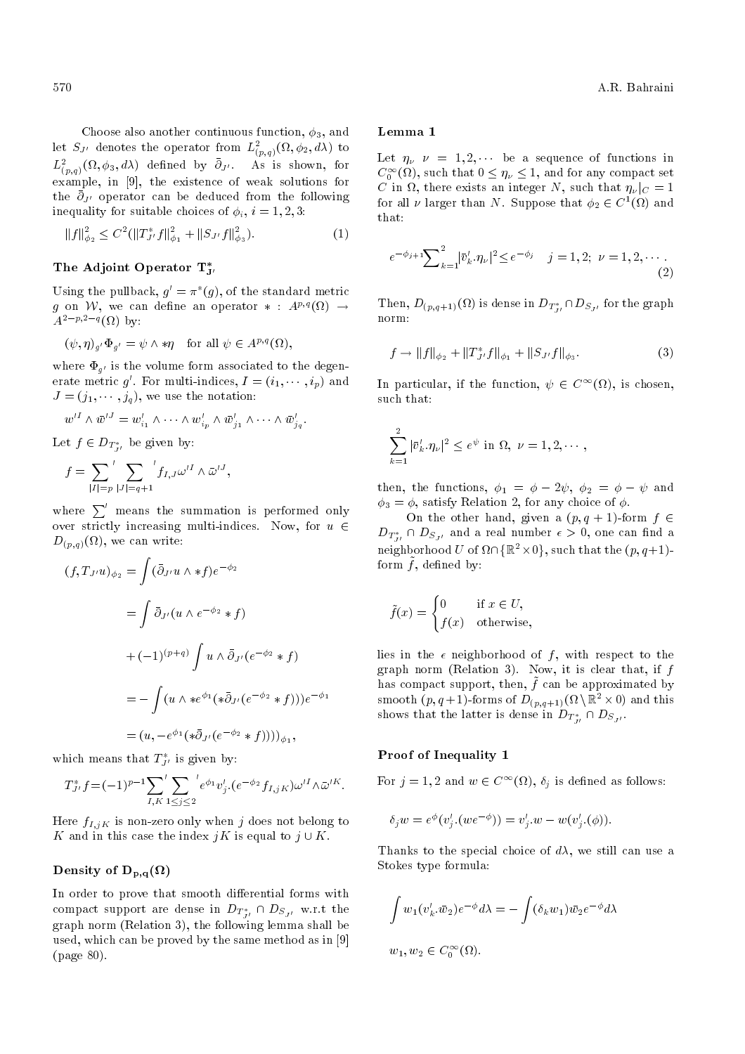Choose also another continuous function,  $\phi_3$ , and let  $S_{J'}$  denotes the operator from  $L^2_{(p,q)}(\Omega,\phi_2,d\lambda)$  to  $L^2_{(p,q)}(\Omega,\phi_3,d\lambda)$  defined by  $\bar{\partial}_{J'}$ . As is shown, for example, in [9], the existence of weak solutions for the  $\bar{\partial}_{J'}$  operator can be deduced from the following inequality for suitable choices of  $\phi_i$ ,  $i = 1, 2, 3$ :

$$
||f||_{\phi_2}^2 \le C^2 (||T_{J'}^* f||_{\phi_1}^2 + ||S_{J'} f||_{\phi_3}^2). \tag{1}
$$

# The Adjoint Operator  $\mathrm{T}_{\texttt{J}'}^*$

Using the pullback,  $g' = \pi^*(g)$ , of the standard metric g on W, we can define an operator  $*$  :  $A^{p,q}(\Omega) \rightarrow$  $A^{2-p,2-q}(\Omega)$  by:

$$
(\psi, \eta)_{g'} \Phi_{g'} = \psi \wedge * \eta \quad \text{for all } \psi \in A^{p,q}(\Omega),
$$

where  $\Phi_{g'}$  is the volume form associated to the degenerate metric  $g'$ . For multi-indices,  $I = (i_1, \dots, i_p)$  and  $J = (j_1, \dots, j_q)$ , we use the notation:

$$
w'^I \wedge \bar{w}'^J = w'_{i_1} \wedge \cdots \wedge w'_{i_p} \wedge \bar{w}'_{j_1} \wedge \cdots \wedge \bar{w}'_{j_q}.
$$

Let  $f \in D_{T^*_{J'}}$  be given by:

 $(f)$ 

$$
f = \sum_{|I|=p} \sum_{|J|=q+1} ' f_{I,J} \omega'^{I} \wedge \bar{\omega}'^{J},
$$

where  $\sum'$  means the summation is performed only over strictly increasing multi-indices. Now, for  $u \in$  $D_{(p,q)}(\Omega),$  we can write:

$$
\begin{aligned}\n(T_{J'}u)_{\phi_2} &= \int (\bar{\partial}_{J'} u \wedge *f) e^{-\phi_2} \\
&= \int \bar{\partial}_{J'} (u \wedge e^{-\phi_2} * f) \\
&+ (-1)^{(p+q)} \int u \wedge \bar{\partial}_{J'} (e^{-\phi_2} * f) \\
&= - \int (u \wedge *e^{\phi_1} (* \bar{\partial}_{J'} (e^{-\phi_2} * f))) e^{-\phi_1} \\
&= (u, -e^{\phi_1} (* \bar{\partial}_{J'} (e^{-\phi_2} * f))))_{\phi_1},\n\end{aligned}
$$

which means that  $T^*_{J'}$  is given by:

$$
T_{J'}^* f = (-1)^{p-1} \sum_{I,K} \sum_{1 \le j \le 2}^{\prime} e^{\phi_1} v_j' \cdot (e^{-\phi_2} f_{I,jK}) \omega'^I \wedge \bar{\omega}'^K.
$$

Here  $f_{I,jK}$  is non-zero only when j does not belong to K and in this case the index  $jK$  is equal to  $j \cup K$ .

# Density of  $\mathbf{D}_{\mathbf{p},\mathbf{q}}(\Omega)$

In order to prove that smooth differential forms with compact support are dense in  $D_{T^*_{J'}} \cap D_{S_{J'}}$  w.r.t the graph norm (Relation 3), the following lemma shall be used, which can be proved by the same method as in [9] (page 80).

#### Lemma 1

Let  $\eta_{\nu}$   $\nu = 1, 2, \cdots$  be a sequence of functions in  $C_0^{\infty}(\Omega)$ , such that  $0 \leq \eta_{\nu} \leq 1$ , and for any compact set C in  $\Omega$ , there exists an integer N, such that  $\eta_{\nu}|_C = 1$ for all  $\nu$  larger than N. Suppose that  $\phi_2 \in C^1(\Omega)$  and that:

$$
e^{-\phi_{j+1}}\sum_{k=1}^{2} |\bar{v}'_k.\eta_{\nu}|^2 \le e^{-\phi_j} \quad j=1,2; \ \nu=1,2,\cdots
$$
\n(2)

Then,  $D_{(p, q+1)}(\Omega)$  is dense in  $D_{T^*_{J'}} \cap D_{S_{J'}}$  for the graph norm:

$$
f \to ||f||_{\phi_2} + ||T_{J'}^* f||_{\phi_1} + ||S_{J'} f||_{\phi_3}.
$$
 (3)

In particular, if the function,  $\psi \in C^{\infty}(\Omega)$ , is chosen, such that:

$$
\sum_{k=1}^2 |\bar{v}'_k \cdot \eta_\nu|^2 \le e^{\psi} \text{ in } \Omega, \ \nu = 1, 2, \cdots,
$$

then, the functions,  $\phi_1 = \phi - 2\psi$ ,  $\phi_2 = \phi - \psi$  and  $\phi_3 = \phi$ , satisfy Relation 2, for any choice of  $\phi$ .

On the other hand, given a  $(p, q + 1)$ -form  $f \in$  $D_{T^*_{J'}} \cap D_{S_{J'}}$  and a real number  $\epsilon > 0$ , one can find a neighborhood U of  $\Omega \cap \{\mathbb{R}^2 \times 0\}$ , such that the  $(p, q+1)$ form  $f$ , defined by:

$$
\tilde{f}(x) = \begin{cases} 0 & \text{if } x \in U, \\ f(x) & \text{otherwise,} \end{cases}
$$

lies in the  $\epsilon$  neighborhood of f, with respect to the graph norm (Relation 3). Now, it is clear that, if  $f$ has compact support, then,  $\tilde{f}$  can be approximated by  $\pmod{p,q+1}$ -forms of  $D_{(p,q+1)}(\Omega \setminus \mathbb{R}^2 \times 0)$  and this shows that the latter is dense in  $D_{T^*_{J'}} \cap D_{S_{J'}}$ .

#### Proof of Inequality 1

For  $j = 1, 2$  and  $w \in C^{\infty}(\Omega)$ ,  $\delta_j$  is defined as follows:

$$
\delta_j w = e^\phi(v_j'(we^{-\phi})) = v_j'.w - w(v_j' .(\phi)).
$$

Thanks to the special choice of  $d\lambda$ , we still can use a Stokes type formula:

$$
\int w_1(v'_k \cdot \overline{w}_2) e^{-\phi} d\lambda = - \int (\delta_k w_1) \overline{w}_2 e^{-\phi} d\lambda
$$
  

$$
w_1, w_2 \in C_0^{\infty}(\Omega).
$$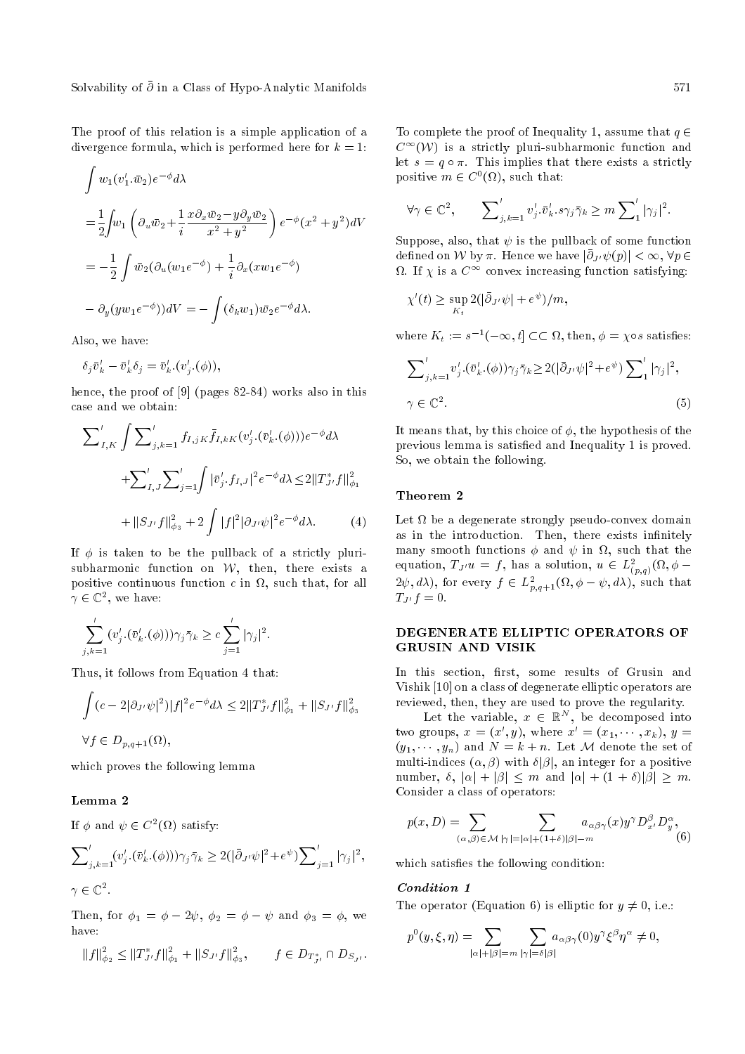Solvability of  $\bar{\partial}$  in a Class of Hypo-Analytic Manifolds 571

The proof of this relation is a simple application of a divergence formula, which is performed here for  $k = 1$ :

$$
\int w_1(v'_1 \cdot \bar{w}_2) e^{-\phi} d\lambda
$$
  
=  $\frac{1}{2} \int w_1 \left( \partial_u \bar{w}_2 + \frac{1}{i} \frac{x \partial_x \bar{w}_2 - y \partial_y \bar{w}_2}{x^2 + y^2} \right) e^{-\phi} (x^2 + y^2) dV$   
=  $-\frac{1}{2} \int \bar{w}_2 (\partial_u (w_1 e^{-\phi}) + \frac{1}{i} \partial_x (x w_1 e^{-\phi})$   
 $- \partial_y (y w_1 e^{-\phi}) dV = - \int (\delta_k w_1) \bar{w}_2 e^{-\phi} d\lambda.$ 

Also, we have:

$$
\delta_j \bar{v}'_k - \bar{v}'_k \delta_j = \bar{v}'_k.(v'_j.(\phi)),
$$

hence, the proof of [9] (pages 82-84) works also in this case and we obtain:

$$
\sum'_{I,K} \int \sum'_{j,k=1} f_{I,jK} \bar{f}_{I,kK} (v'_j \cdot (\bar{v}'_k \cdot (\phi))) e^{-\phi} d\lambda \n+ \sum'_{I,J} \sum'_{j=1} \int |\bar{v}'_j \cdot f_{I,J}|^2 e^{-\phi} d\lambda \leq 2 \|T^*_{J'}f\|^2_{\phi_1} \n+ \|S_{J'}f\|^2_{\phi_3} + 2 \int |f|^2 |\partial_{J'} \psi|^2 e^{-\phi} d\lambda.
$$
\n(4)

If  $\phi$  is taken to be the pullback of a strictly plurisubharmonic function on  $W$ , then, there exists a positive continuous function  $c$  in  $\Omega$ , such that, for all  $\gamma \in \mathbb{C}^2$ , we have:

$$
\sum_{j,k=1}^{\prime} (v_j' \cdot (\bar{v}_k' \cdot (\phi))) \gamma_j \bar{\gamma}_k \ge c \sum_{j=1}^{\prime} |\gamma_j|^2.
$$

Thus, it follows from Equation 4 that:

$$
\int (c - 2|\partial_{J'} \psi|^2)|f|^2 e^{-\phi} d\lambda \le 2||T_{J'}^* f||_{\phi_1}^2 + ||S_{J'} f||_{\phi_3}^2
$$
  

$$
\forall f \in D_{p,q+1}(\Omega),
$$

which proves the following lemma

# Lemma 2

If  $\phi$  and  $\psi \in C^2(\Omega)$  satisfy:

$$
\sum'_{j,k=1} (v'_j \cdot (\bar{v}'_k \cdot (\phi))) \gamma_j \bar{\gamma}_k \ge 2(|\bar{\partial}_{J'} \psi|^2 + e^{\psi}) \sum'_{j=1} |\gamma_j|^2,
$$
  

$$
\gamma \in \mathbb{C}^2.
$$

Then, for  $\phi_1 = \phi - 2\psi$ ,  $\phi_2 = \phi - \psi$  and  $\phi_3 = \phi$ , we have:

$$
||f||_{\phi_2}^2 \leq ||T_{J'}^* f||_{\phi_1}^2 + ||S_{J'} f||_{\phi_3}^2, \qquad f \in D_{T_{J'}^*} \cap D_{S_{J'}}.
$$

To complete the proof of Inequality 1, assume that  $q \in$  $C^{\infty}(\mathcal{W})$  is a strictly pluri-subharmonic function and let  $s = q \circ \pi$ . This implies that there exists a strictly positive  $m \in C^0(\Omega)$ , such that:

$$
\forall \gamma \in \mathbb{C}^2, \qquad \sum'_{j,k=1} v'_j \cdot \bar{v}'_k \cdot s \gamma_j \bar{\gamma}_k \ge m \sum'_{1} |\gamma_j|^2.
$$

Suppose, also, that  $\psi$  is the pullback of some function defined on W by  $\pi$ . Hence we have  $|\bar{\partial}_{J'} \psi(p)| < \infty$ ,  $\forall p \in$  $\Omega$ . If  $\chi$  is a  $C^\infty$  convex increasing function satisfying:

$$
\chi'(t) \ge \sup_{K_t} 2(|\bar{\partial}_{J'}\psi| + e^{\psi})/m,
$$

where  $K_t := s^{-1}(-\infty, t] \subset \subset \Omega$ , then,  $\phi = \chi \circ s$  satisfies:

$$
\sum'_{j,k=1} v'_j \cdot (\bar{v}'_k \cdot (\phi)) \gamma_j \bar{\gamma}_k \ge 2(|\bar{\partial}_{J'} \psi|^2 + e^{\psi}) \sum'_{1} |\gamma_j|^2,
$$
  
 
$$
\gamma \in \mathbb{C}^2.
$$
 (5)

It means that, by this choice of  $\phi$ , the hypothesis of the previous lemma is satised and Inequality 1 is proved. So, we obtain the following.

#### Theorem 2

Let  $\Omega$  be a degenerate strongly pseudo-convex domain as in the introduction. Then, there exists infinitely many smooth functions  $\phi$  and  $\psi$  in  $\Omega,$  such that the equation,  $T_{J'}u = f$ , has a solution,  $u \in L^2_{(p,q)}(\Omega, \phi (2\psi, d\lambda)$ , for every  $f \in L^2_{p,q+1}(\Omega, \phi - \psi, d\lambda)$ , such that  $T_{J'} f = 0.$ 

## DEGENERATE ELLIPTIC OPERATORS OF GRUSIN AND VISIK

In this section, first, some results of Grusin and Vishik [10] on a class of degenerate elliptic operators are reviewed, then, they are used to prove the regularity.

Let the variable,  $x \in \mathbb{R}^N$ , be decomposed into two groups,  $x = (x', y)$ , where  $x' = (x_1, \dots, x_k)$ ,  $y =$  $(y_1, \ldots, y_n)$  and  $N = k + n$ . Let M denote the set of multi-indices  $(\alpha, \beta)$  with  $\delta|\beta|$ , an integer for a positive number,  $\delta$ ,  $|\alpha| + |\beta| \leq m$  and  $|\alpha| + (1 + \delta)|\beta| \geq m$ . Consider a class of operators:

$$
p(x,D) = \sum_{(\alpha,\beta)\in\mathcal{M}} \sum_{|\gamma|=|\alpha|+(1+\delta)|\beta|=m} a_{\alpha\beta\gamma}(x) y^{\gamma} D_{x'}^{\beta} D_{y}^{\alpha},
$$
(6)

which satisfies the following condition:

#### Condition 1

The operator (Equation 6) is elliptic for  $y \neq 0$ , i.e.:

$$
p^0(y,\xi,\eta)=\!\!\!\!\!\sum_{|\alpha|+|\beta|=m}\sum_{|\gamma|=\delta|\beta|}\!\!\!\!\!\!a_{\alpha\beta\gamma}(0)y^\gamma\xi^\beta\eta^\alpha\neq 0,
$$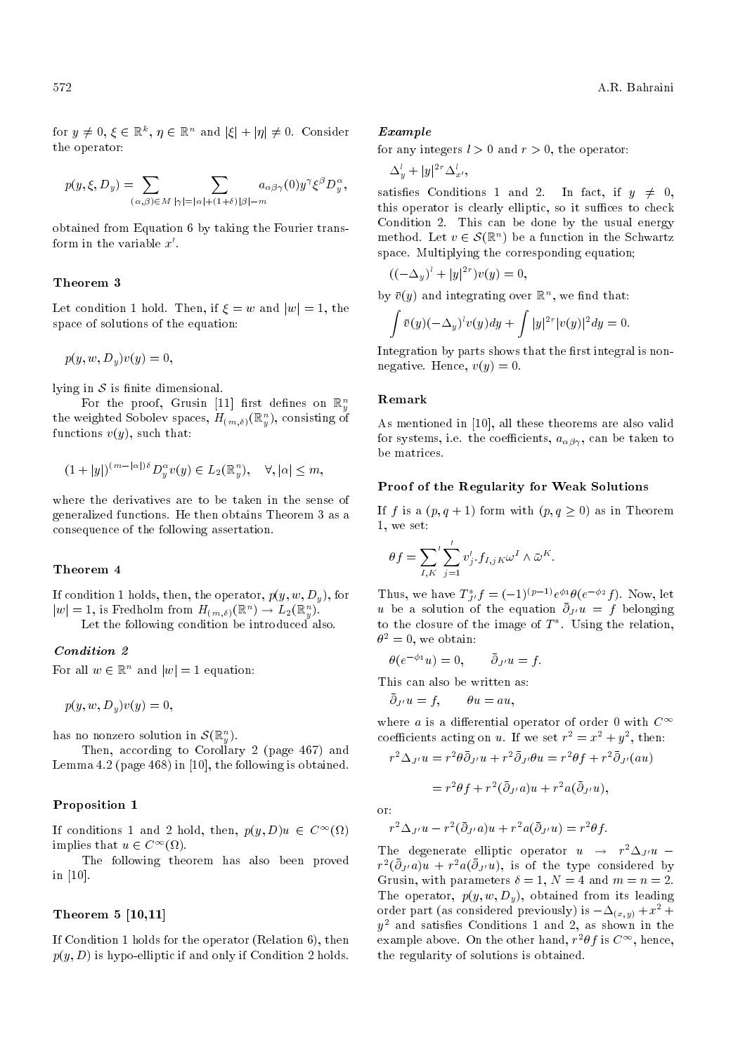for  $y \neq 0, \xi \in \mathbb{R}^k$ ,  $\eta \in \mathbb{R}^n$  and  $|\xi| + |\eta| \neq 0$ . Consider the operator:

$$
p(y,\xi,D_y) = \sum_{(\alpha,\beta)\in M} \sum_{|\gamma|=|\alpha|+(1+\delta)|\beta|=m} a_{\alpha\beta\gamma}(0) y^{\gamma} \xi^{\beta} D_y^{\alpha},
$$

obtained from Equation 6 by taking the Fourier transform in the variable  $x'$ .

#### Theorem 3

Let condition 1 hold. Then, if  $\xi = w$  and  $|w| = 1$ , the space of solutions of the equation:

$$
p(y, w, D_y)v(y) = 0,
$$

lying in  $S$  is finite dimensional.

For the proof, Grusin [11] first defines on  $\mathbb{R}^n_y$ the weighted Sobolev spaces,  $H_{(m,\delta)}({\mathbb R}^n_y),$  consisting of functions  $v(y)$ , such that:

$$
(1+|y|)^{(m-|\alpha|)\delta}D_y^{\alpha}v(y)\in L_2(\mathbb{R}_y^n),\quad \forall, |\alpha|\leq m,
$$

where the derivatives are to be taken in the sense of generalized functions. He then obtains Theorem 3 as a consequence of the following assertation.

# Theorem 4

If condition 1 holds, then, the operator,  $p(y, w, D_y)$ , for  $|w|=1$ , is Fredholm from  $H_{(m,\delta)}(\mathbb{R}^n) \to L_2(\mathbb{R}^n_y)$ .

Let the following condition be introduced also.

# Condition 2

For all  $w \in \mathbb{R}^n$  and  $|w| = 1$  equation:

 $p(y, w, D_y)v(y) = 0,$ 

has no nonzero solution in  $\mathcal{S}(\mathbb{R}_{y}^{n}).$ 

Then, according to Corollary 2 (page 467) and Lemma 4.2 (page 468) in [10], the following is obtained.

#### Proposition 1

If conditions 1 and 2 hold, then,  $p(y, D)u \in C^{\infty}(\Omega)$ implies that  $u \in C^{\infty}(\Omega)$ .

The following theorem has also been proved in [10].

# Theorem 5 [10,11]

If Condition 1 holds for the operator (Relation 6), then  $p(y, D)$  is hypo-elliptic if and only if Condition 2 holds.

#### Example

for any integers  $l > 0$  and  $r > 0$ , the operator:

 $\Delta_y^l + |y|^{2r} \Delta_{x'}^l$ 

satisfies Conditions 1 and 2. In fact, if  $y \neq 0$ , this operator is clearly elliptic, so it suffices to check Condition 2. This can be done by the usual energy method. Let  $v \in \mathcal{S}(\mathbb{R}^n)$  be a function in the Schwartz space. Multiplying the corresponding equation;

$$
\bigl( (-\Delta_y)^l + |y|^{2r} \bigr) v(y) = 0,
$$

by  $\bar{v}(y)$  and integrating over  $\mathbb{R}^n$ , we find that:

$$
\int \overline{v}(y)(-\Delta_y)^l v(y)dy + \int |y|^{2r} |v(y)|^2 dy = 0.
$$

Integration by parts shows that the first integral is nonnegative. Hence,  $v(y) = 0$ .

#### Remark

As mentioned in [10], all these theorems are also valid for systems, i.e. the coefficients,  $a_{\alpha\beta\gamma}$ , can be taken to be matrices.

### Proof of the Regularity for Weak Solutions

If f is a  $(p, q + 1)$  form with  $(p, q \ge 0)$  as in Theorem 1, we set:

$$
\theta f = \sum_{I,K} \sum_{j=1}^{\prime} v_j' \cdot f_{I,jK} \omega^I \wedge \bar{\omega}^K.
$$

Thus, we have  $T_{J'}^* f = (-1)^{(p-1)} e^{\phi_1} \theta(e^{-\phi_2} f)$ . Now, let u be a solution of the equation  $\bar{\partial}_{J'}u = f$  belonging to the closure of the image of  $T^*$ . Using the relation,  $\theta^2 = 0$ , we obtain:

$$
\theta(e^{-\phi_1}u) = 0, \qquad \bar{\partial}_{J'}u = f.
$$

This can also be written as:

$$
\bar{\partial}_{J'}u = f, \qquad \theta u = au,
$$

where a is a differential operator of order 0 with  $C^{\infty}$ coefficients acting on u. If we set  $r^2 = x^2 + y^2$ , then:

$$
r^2 \Delta_{J'} u = r^2 \theta \overline{\partial}_{J'} u + r^2 \overline{\partial}_{J'} \theta u = r^2 \theta f + r^2 \overline{\partial}_{J'} (au)
$$

 $= r^2 \theta f + r^2 (\bar{\partial}_{J'} a) u + r^2 a (\bar{\partial}_{J'} u),$ 

or:

$$
r^2 \Delta_{J'} u - r^2 (\bar{\partial}_{J'} a) u + r^2 a (\bar{\partial}_{J'} u) = r^2 \theta f.
$$

The degenerate elliptic operator  $u \rightarrow r^2 \Delta_{J'} u$  –  $r^2(\bar{\partial}_{J'}\tilde{u})\tilde{u} + r^2a(\bar{\partial}_{J'}\tilde{u})$ , is of the type considered by Grusin, with parameters  $\delta = 1$ ,  $N = 4$  and  $m = n = 2$ . The operator,  $p(y, w, D_y)$ , obtained from its leading order part (as considered previously) is  $-\Delta_{(x,y)} + x^2 +$  $y^2$  and satisfies Conditions 1 and 2, as shown in the example above. On the other hand,  $r^2\theta f$  is  $C^\infty$ , hence, the regularity of solutions is obtained.